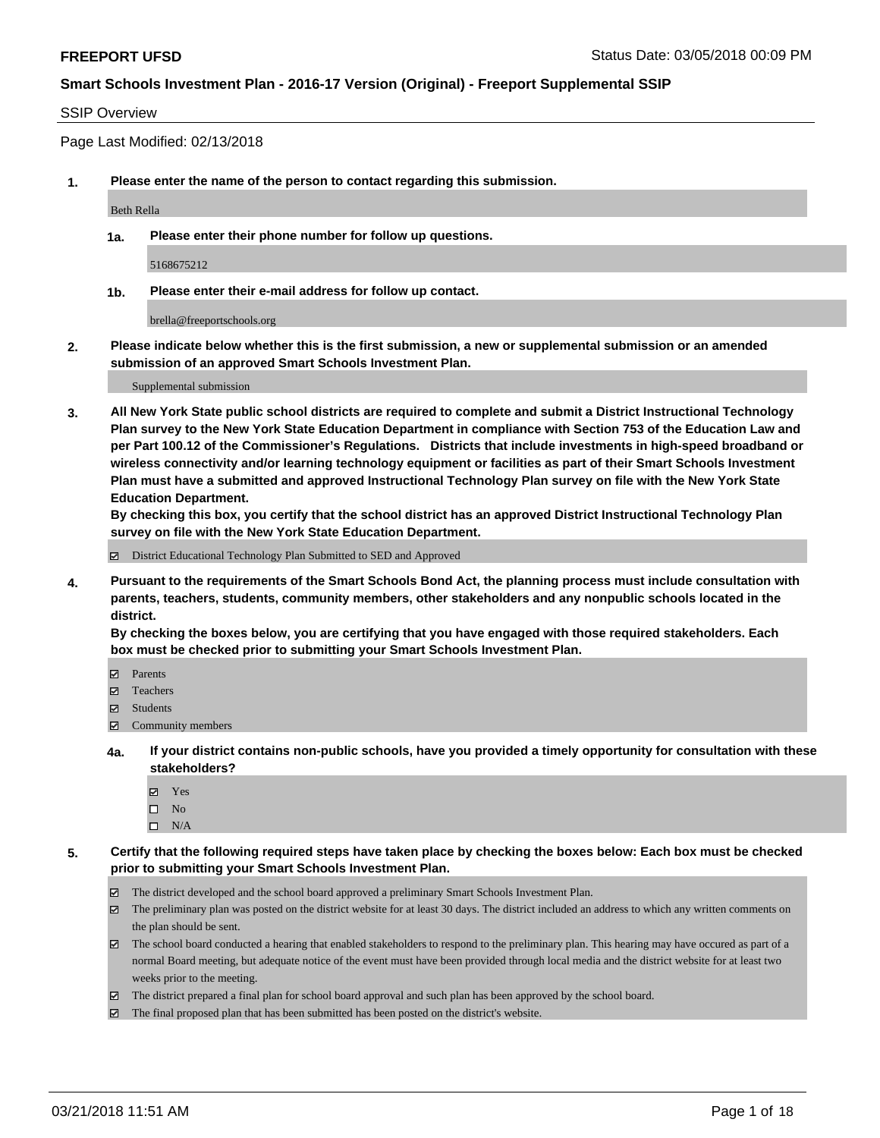### SSIP Overview

Page Last Modified: 02/13/2018

**1. Please enter the name of the person to contact regarding this submission.**

Beth Rella

**1a. Please enter their phone number for follow up questions.**

5168675212

**1b. Please enter their e-mail address for follow up contact.**

brella@freeportschools.org

**2. Please indicate below whether this is the first submission, a new or supplemental submission or an amended submission of an approved Smart Schools Investment Plan.**

Supplemental submission

**3. All New York State public school districts are required to complete and submit a District Instructional Technology Plan survey to the New York State Education Department in compliance with Section 753 of the Education Law and per Part 100.12 of the Commissioner's Regulations. Districts that include investments in high-speed broadband or wireless connectivity and/or learning technology equipment or facilities as part of their Smart Schools Investment Plan must have a submitted and approved Instructional Technology Plan survey on file with the New York State Education Department.** 

**By checking this box, you certify that the school district has an approved District Instructional Technology Plan survey on file with the New York State Education Department.**

District Educational Technology Plan Submitted to SED and Approved

**4. Pursuant to the requirements of the Smart Schools Bond Act, the planning process must include consultation with parents, teachers, students, community members, other stakeholders and any nonpublic schools located in the district.** 

**By checking the boxes below, you are certifying that you have engaged with those required stakeholders. Each box must be checked prior to submitting your Smart Schools Investment Plan.**

- Parents
- Teachers
- Students
- $\Xi$  Community members
- **4a. If your district contains non-public schools, have you provided a timely opportunity for consultation with these stakeholders?**
	- Yes
	- $\square$  No
	- $\square$  N/A
- **5. Certify that the following required steps have taken place by checking the boxes below: Each box must be checked prior to submitting your Smart Schools Investment Plan.**
	- The district developed and the school board approved a preliminary Smart Schools Investment Plan.
	- $\boxtimes$  The preliminary plan was posted on the district website for at least 30 days. The district included an address to which any written comments on the plan should be sent.
	- $\boxtimes$  The school board conducted a hearing that enabled stakeholders to respond to the preliminary plan. This hearing may have occured as part of a normal Board meeting, but adequate notice of the event must have been provided through local media and the district website for at least two weeks prior to the meeting.
	- The district prepared a final plan for school board approval and such plan has been approved by the school board.
	- $\boxtimes$  The final proposed plan that has been submitted has been posted on the district's website.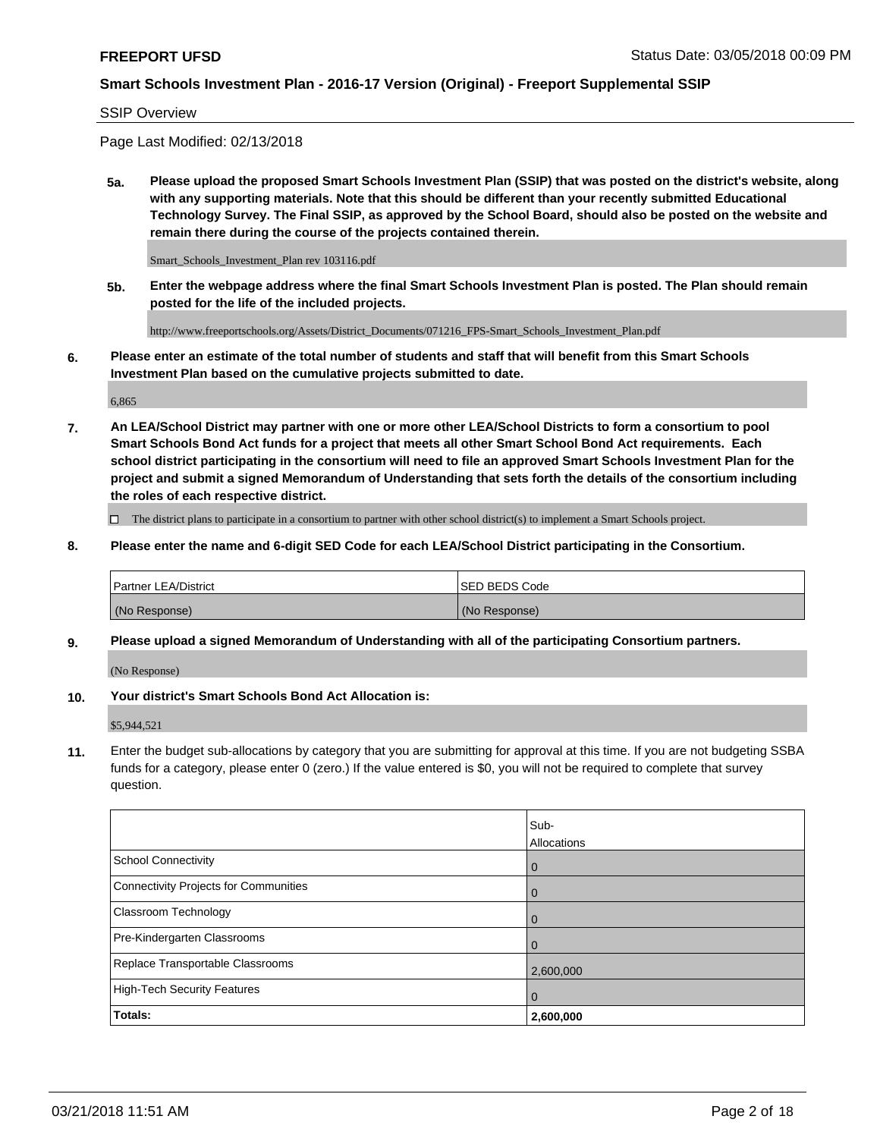#### SSIP Overview

Page Last Modified: 02/13/2018

**5a. Please upload the proposed Smart Schools Investment Plan (SSIP) that was posted on the district's website, along with any supporting materials. Note that this should be different than your recently submitted Educational Technology Survey. The Final SSIP, as approved by the School Board, should also be posted on the website and remain there during the course of the projects contained therein.**

Smart\_Schools\_Investment\_Plan rev 103116.pdf

**5b. Enter the webpage address where the final Smart Schools Investment Plan is posted. The Plan should remain posted for the life of the included projects.**

http://www.freeportschools.org/Assets/District\_Documents/071216\_FPS-Smart\_Schools\_Investment\_Plan.pdf

**6. Please enter an estimate of the total number of students and staff that will benefit from this Smart Schools Investment Plan based on the cumulative projects submitted to date.**

6,865

**7. An LEA/School District may partner with one or more other LEA/School Districts to form a consortium to pool Smart Schools Bond Act funds for a project that meets all other Smart School Bond Act requirements. Each school district participating in the consortium will need to file an approved Smart Schools Investment Plan for the project and submit a signed Memorandum of Understanding that sets forth the details of the consortium including the roles of each respective district.**

 $\Box$  The district plans to participate in a consortium to partner with other school district(s) to implement a Smart Schools project.

**8. Please enter the name and 6-digit SED Code for each LEA/School District participating in the Consortium.**

| <b>Partner LEA/District</b> | <b>ISED BEDS Code</b> |
|-----------------------------|-----------------------|
| (No Response)               | (No Response)         |

#### **9. Please upload a signed Memorandum of Understanding with all of the participating Consortium partners.**

(No Response)

**10. Your district's Smart Schools Bond Act Allocation is:**

\$5,944,521

**11.** Enter the budget sub-allocations by category that you are submitting for approval at this time. If you are not budgeting SSBA funds for a category, please enter 0 (zero.) If the value entered is \$0, you will not be required to complete that survey question.

|                                              | Sub-<br>Allocations |
|----------------------------------------------|---------------------|
| <b>School Connectivity</b>                   | $\mathbf 0$         |
| <b>Connectivity Projects for Communities</b> | $\Omega$            |
| Classroom Technology                         | $\overline{0}$      |
| Pre-Kindergarten Classrooms                  | 0                   |
| Replace Transportable Classrooms             | 2,600,000           |
| <b>High-Tech Security Features</b>           | $\overline{0}$      |
| Totals:                                      | 2,600,000           |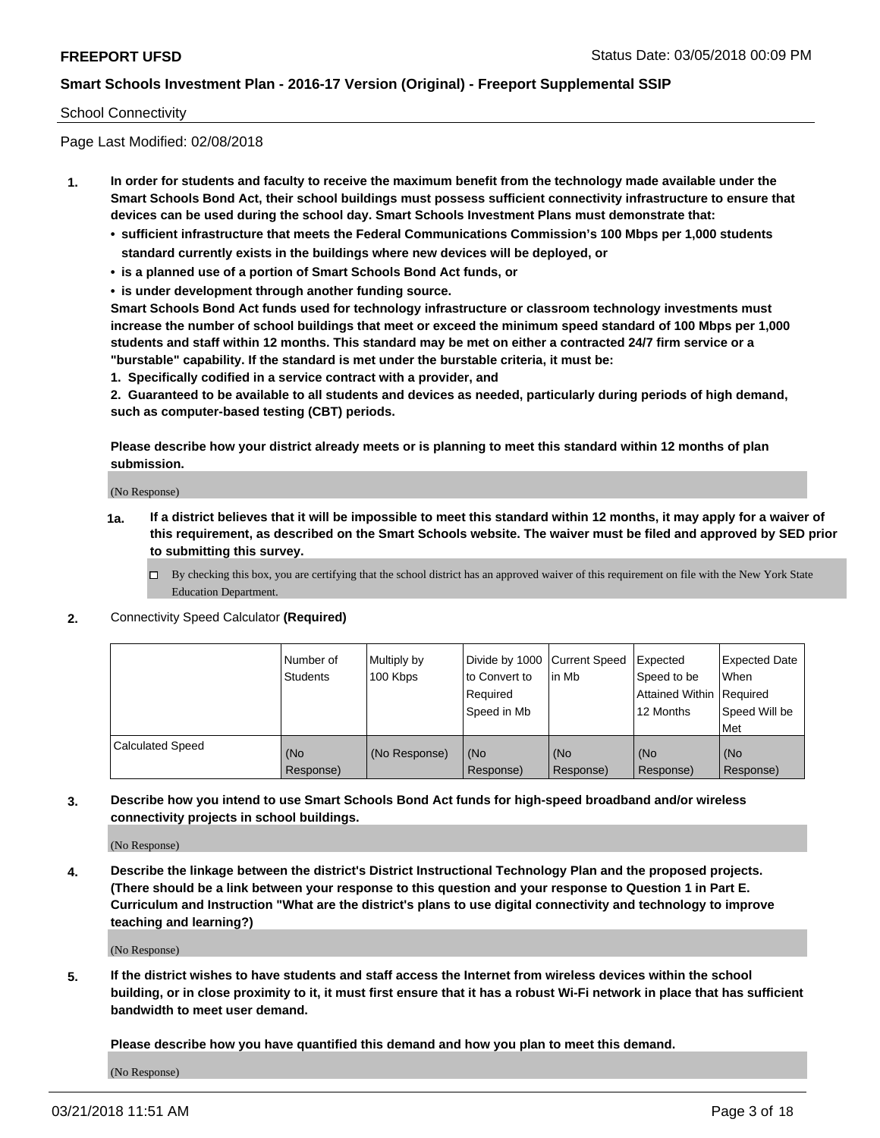### School Connectivity

Page Last Modified: 02/08/2018

- **1. In order for students and faculty to receive the maximum benefit from the technology made available under the Smart Schools Bond Act, their school buildings must possess sufficient connectivity infrastructure to ensure that devices can be used during the school day. Smart Schools Investment Plans must demonstrate that:**
	- **• sufficient infrastructure that meets the Federal Communications Commission's 100 Mbps per 1,000 students standard currently exists in the buildings where new devices will be deployed, or**
	- **• is a planned use of a portion of Smart Schools Bond Act funds, or**
	- **• is under development through another funding source.**

**Smart Schools Bond Act funds used for technology infrastructure or classroom technology investments must increase the number of school buildings that meet or exceed the minimum speed standard of 100 Mbps per 1,000 students and staff within 12 months. This standard may be met on either a contracted 24/7 firm service or a "burstable" capability. If the standard is met under the burstable criteria, it must be:**

**1. Specifically codified in a service contract with a provider, and**

**2. Guaranteed to be available to all students and devices as needed, particularly during periods of high demand, such as computer-based testing (CBT) periods.**

**Please describe how your district already meets or is planning to meet this standard within 12 months of plan submission.**

(No Response)

- **1a. If a district believes that it will be impossible to meet this standard within 12 months, it may apply for a waiver of this requirement, as described on the Smart Schools website. The waiver must be filed and approved by SED prior to submitting this survey.**
	- By checking this box, you are certifying that the school district has an approved waiver of this requirement on file with the New York State Education Department.
- **2.** Connectivity Speed Calculator **(Required)**

|                         | l Number of<br>Students | Multiply by<br>100 Kbps | Divide by 1000 Current Speed<br>to Convert to<br>Required<br>Speed in Mb | lin Mb           | Expected<br>Speed to be<br>Attained Within   Required<br>12 Months | <b>Expected Date</b><br>When<br>Speed Will be<br>Met |
|-------------------------|-------------------------|-------------------------|--------------------------------------------------------------------------|------------------|--------------------------------------------------------------------|------------------------------------------------------|
| <b>Calculated Speed</b> | (No<br>Response)        | (No Response)           | (No<br>Response)                                                         | (No<br>Response) | (No<br>Response)                                                   | l (No<br>Response)                                   |

**3. Describe how you intend to use Smart Schools Bond Act funds for high-speed broadband and/or wireless connectivity projects in school buildings.**

(No Response)

**4. Describe the linkage between the district's District Instructional Technology Plan and the proposed projects. (There should be a link between your response to this question and your response to Question 1 in Part E. Curriculum and Instruction "What are the district's plans to use digital connectivity and technology to improve teaching and learning?)**

(No Response)

**5. If the district wishes to have students and staff access the Internet from wireless devices within the school building, or in close proximity to it, it must first ensure that it has a robust Wi-Fi network in place that has sufficient bandwidth to meet user demand.**

**Please describe how you have quantified this demand and how you plan to meet this demand.**

(No Response)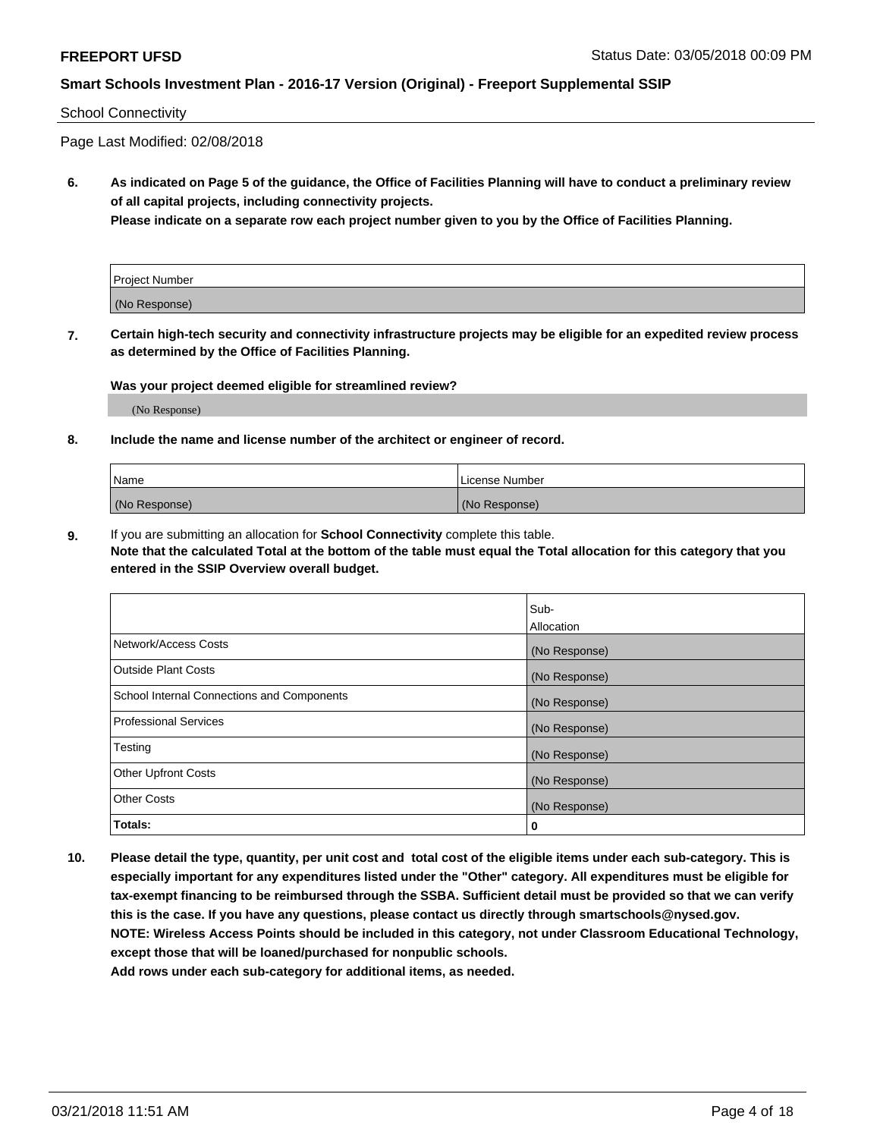### School Connectivity

Page Last Modified: 02/08/2018

**6. As indicated on Page 5 of the guidance, the Office of Facilities Planning will have to conduct a preliminary review of all capital projects, including connectivity projects.**

**Please indicate on a separate row each project number given to you by the Office of Facilities Planning.**

| Project Number |  |
|----------------|--|
| (No Response)  |  |

**7. Certain high-tech security and connectivity infrastructure projects may be eligible for an expedited review process as determined by the Office of Facilities Planning.**

#### **Was your project deemed eligible for streamlined review?**

(No Response)

#### **8. Include the name and license number of the architect or engineer of record.**

| Name          | License Number |
|---------------|----------------|
| (No Response) | (No Response)  |

**9.** If you are submitting an allocation for **School Connectivity** complete this table.

**Note that the calculated Total at the bottom of the table must equal the Total allocation for this category that you entered in the SSIP Overview overall budget.** 

|                                            | Sub-          |
|--------------------------------------------|---------------|
|                                            | Allocation    |
| Network/Access Costs                       | (No Response) |
| Outside Plant Costs                        | (No Response) |
| School Internal Connections and Components | (No Response) |
| Professional Services                      | (No Response) |
| Testing                                    | (No Response) |
| <b>Other Upfront Costs</b>                 | (No Response) |
| <b>Other Costs</b>                         | (No Response) |
| Totals:                                    | 0             |

**10. Please detail the type, quantity, per unit cost and total cost of the eligible items under each sub-category. This is especially important for any expenditures listed under the "Other" category. All expenditures must be eligible for tax-exempt financing to be reimbursed through the SSBA. Sufficient detail must be provided so that we can verify this is the case. If you have any questions, please contact us directly through smartschools@nysed.gov. NOTE: Wireless Access Points should be included in this category, not under Classroom Educational Technology, except those that will be loaned/purchased for nonpublic schools.**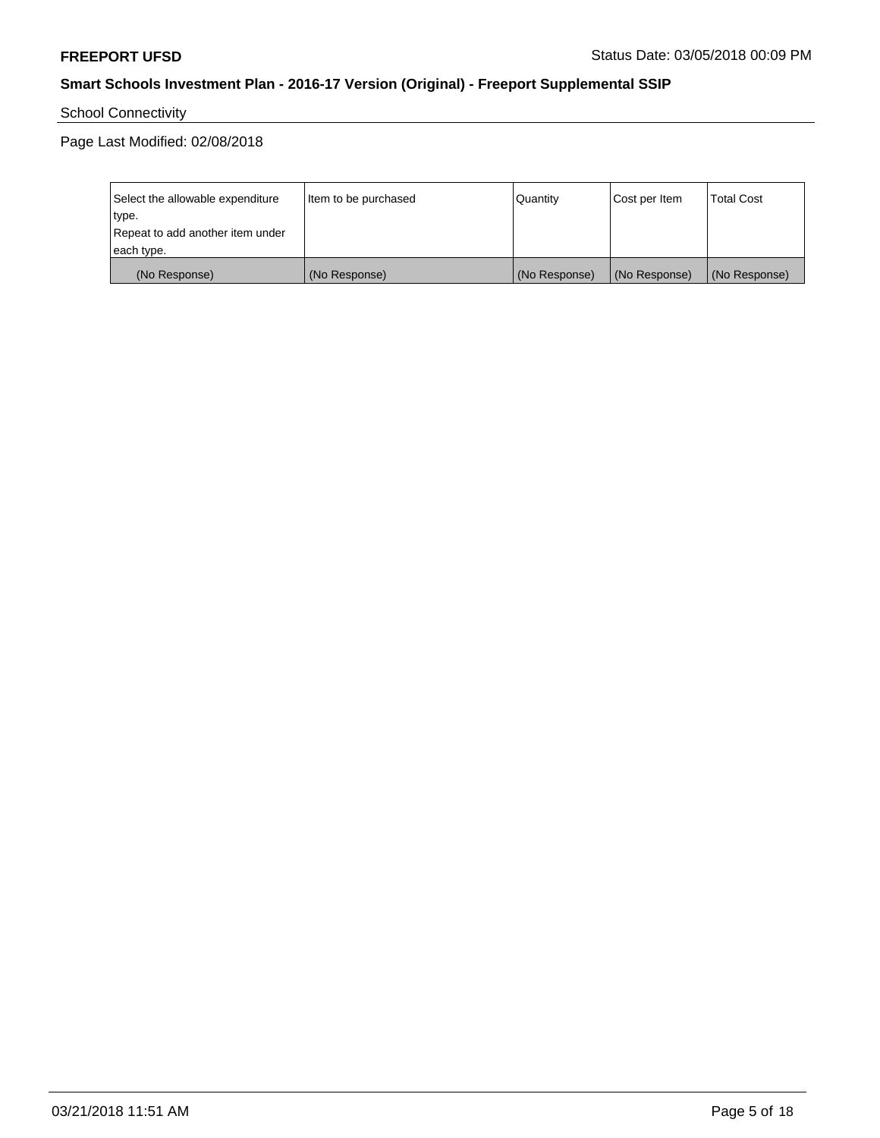School Connectivity

Page Last Modified: 02/08/2018

| Select the allowable expenditure | Item to be purchased | Quantity      | Cost per Item | <b>Total Cost</b> |
|----------------------------------|----------------------|---------------|---------------|-------------------|
| type.                            |                      |               |               |                   |
| Repeat to add another item under |                      |               |               |                   |
| each type.                       |                      |               |               |                   |
| (No Response)                    | (No Response)        | (No Response) | (No Response) | (No Response)     |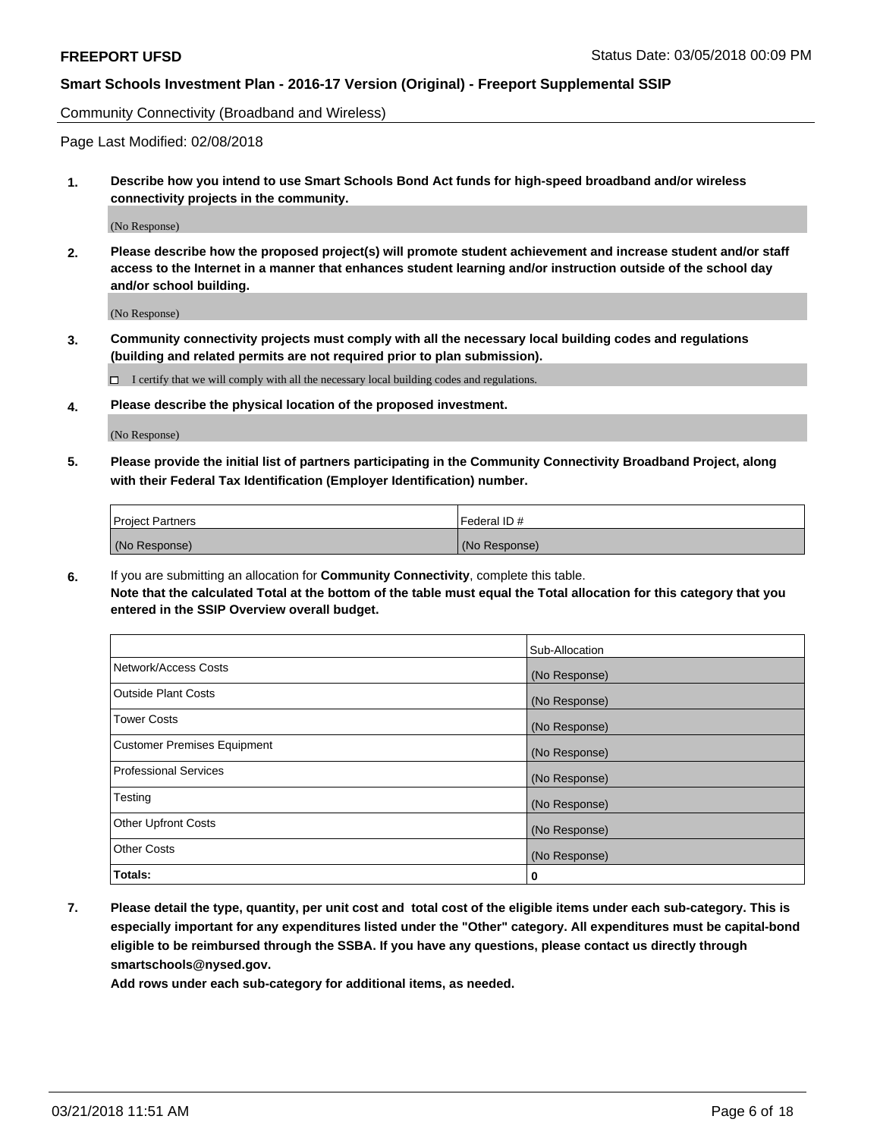Community Connectivity (Broadband and Wireless)

Page Last Modified: 02/08/2018

**1. Describe how you intend to use Smart Schools Bond Act funds for high-speed broadband and/or wireless connectivity projects in the community.**

(No Response)

**2. Please describe how the proposed project(s) will promote student achievement and increase student and/or staff access to the Internet in a manner that enhances student learning and/or instruction outside of the school day and/or school building.**

(No Response)

**3. Community connectivity projects must comply with all the necessary local building codes and regulations (building and related permits are not required prior to plan submission).**

 $\Box$  I certify that we will comply with all the necessary local building codes and regulations.

**4. Please describe the physical location of the proposed investment.**

(No Response)

**5. Please provide the initial list of partners participating in the Community Connectivity Broadband Project, along with their Federal Tax Identification (Employer Identification) number.**

| <b>Project Partners</b> | Federal ID#   |
|-------------------------|---------------|
| (No Response)           | (No Response) |

**6.** If you are submitting an allocation for **Community Connectivity**, complete this table. **Note that the calculated Total at the bottom of the table must equal the Total allocation for this category that you entered in the SSIP Overview overall budget.**

|                                    | Sub-Allocation |
|------------------------------------|----------------|
| Network/Access Costs               | (No Response)  |
| Outside Plant Costs                | (No Response)  |
| <b>Tower Costs</b>                 | (No Response)  |
| <b>Customer Premises Equipment</b> | (No Response)  |
| Professional Services              | (No Response)  |
| Testing                            | (No Response)  |
| <b>Other Upfront Costs</b>         | (No Response)  |
| <b>Other Costs</b>                 | (No Response)  |
| Totals:                            | 0              |

**7. Please detail the type, quantity, per unit cost and total cost of the eligible items under each sub-category. This is especially important for any expenditures listed under the "Other" category. All expenditures must be capital-bond eligible to be reimbursed through the SSBA. If you have any questions, please contact us directly through smartschools@nysed.gov.**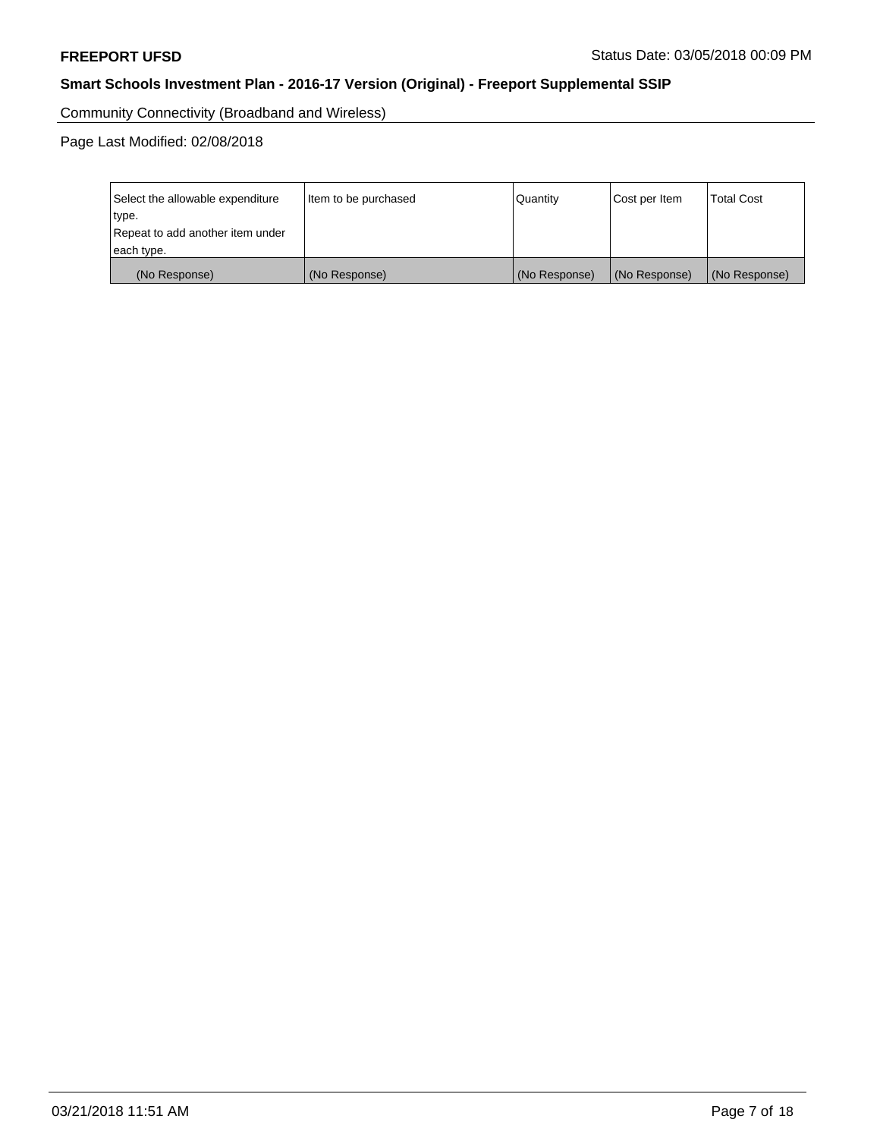Community Connectivity (Broadband and Wireless)

Page Last Modified: 02/08/2018

| Select the allowable expenditure | Item to be purchased | Quantity      | Cost per Item | <b>Total Cost</b> |
|----------------------------------|----------------------|---------------|---------------|-------------------|
| type.                            |                      |               |               |                   |
| Repeat to add another item under |                      |               |               |                   |
| each type.                       |                      |               |               |                   |
| (No Response)                    | (No Response)        | (No Response) | (No Response) | (No Response)     |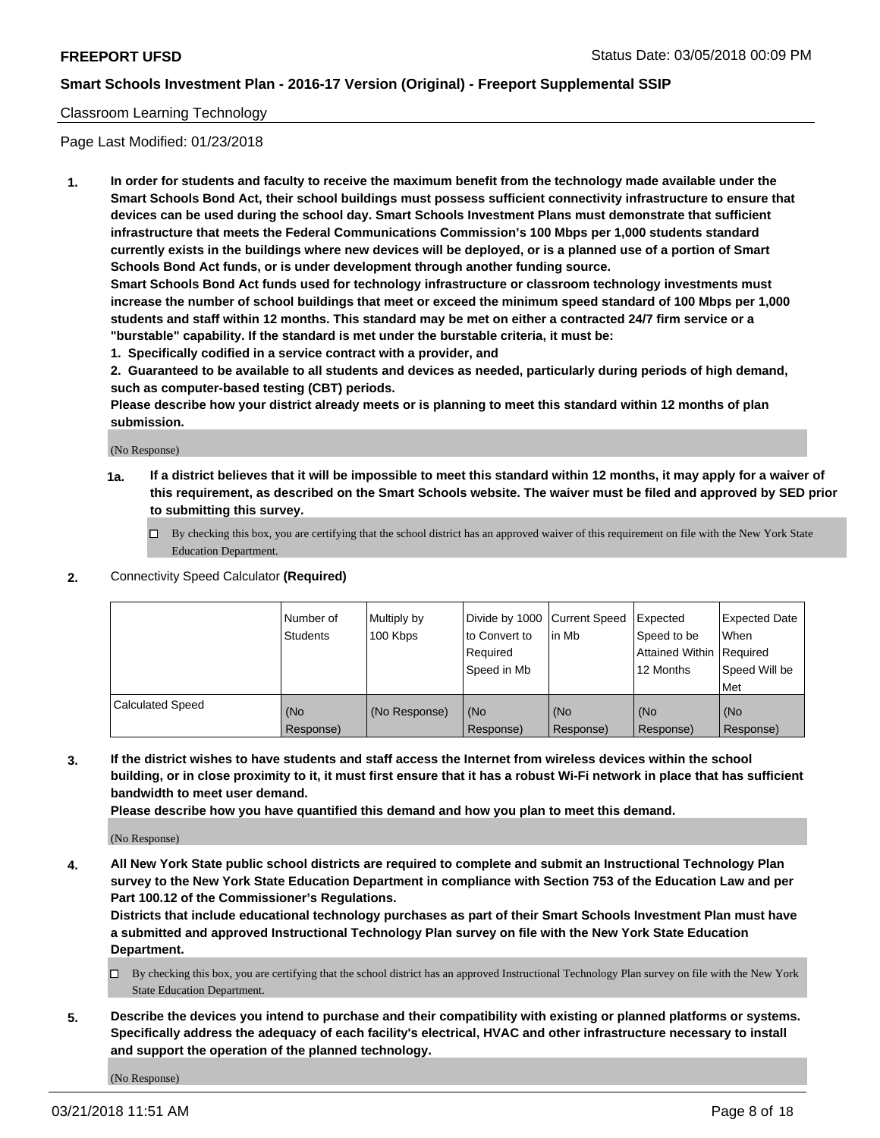### Classroom Learning Technology

Page Last Modified: 01/23/2018

**1. In order for students and faculty to receive the maximum benefit from the technology made available under the Smart Schools Bond Act, their school buildings must possess sufficient connectivity infrastructure to ensure that devices can be used during the school day. Smart Schools Investment Plans must demonstrate that sufficient infrastructure that meets the Federal Communications Commission's 100 Mbps per 1,000 students standard currently exists in the buildings where new devices will be deployed, or is a planned use of a portion of Smart Schools Bond Act funds, or is under development through another funding source.**

**Smart Schools Bond Act funds used for technology infrastructure or classroom technology investments must increase the number of school buildings that meet or exceed the minimum speed standard of 100 Mbps per 1,000 students and staff within 12 months. This standard may be met on either a contracted 24/7 firm service or a "burstable" capability. If the standard is met under the burstable criteria, it must be:**

**1. Specifically codified in a service contract with a provider, and**

**2. Guaranteed to be available to all students and devices as needed, particularly during periods of high demand, such as computer-based testing (CBT) periods.**

**Please describe how your district already meets or is planning to meet this standard within 12 months of plan submission.**

(No Response)

- **1a. If a district believes that it will be impossible to meet this standard within 12 months, it may apply for a waiver of this requirement, as described on the Smart Schools website. The waiver must be filed and approved by SED prior to submitting this survey.**
	- By checking this box, you are certifying that the school district has an approved waiver of this requirement on file with the New York State Education Department.
- **2.** Connectivity Speed Calculator **(Required)**

|                         | Number of<br><b>Students</b> | Multiply by<br>100 Kbps | Divide by 1000 Current Speed<br>to Convert to<br>Required<br>Speed in Mb | l in Mb          | Expected<br>Speed to be<br>Attained Within Required<br>12 Months | Expected Date<br>When<br>Speed Will be<br>Met |
|-------------------------|------------------------------|-------------------------|--------------------------------------------------------------------------|------------------|------------------------------------------------------------------|-----------------------------------------------|
| <b>Calculated Speed</b> | (No<br>Response)             | (No Response)           | (No<br>Response)                                                         | (No<br>Response) | (No<br>Response)                                                 | (No<br>Response)                              |

**3. If the district wishes to have students and staff access the Internet from wireless devices within the school building, or in close proximity to it, it must first ensure that it has a robust Wi-Fi network in place that has sufficient bandwidth to meet user demand.**

**Please describe how you have quantified this demand and how you plan to meet this demand.**

(No Response)

**4. All New York State public school districts are required to complete and submit an Instructional Technology Plan survey to the New York State Education Department in compliance with Section 753 of the Education Law and per Part 100.12 of the Commissioner's Regulations.**

**Districts that include educational technology purchases as part of their Smart Schools Investment Plan must have a submitted and approved Instructional Technology Plan survey on file with the New York State Education Department.**

- By checking this box, you are certifying that the school district has an approved Instructional Technology Plan survey on file with the New York State Education Department.
- **5. Describe the devices you intend to purchase and their compatibility with existing or planned platforms or systems. Specifically address the adequacy of each facility's electrical, HVAC and other infrastructure necessary to install and support the operation of the planned technology.**

(No Response)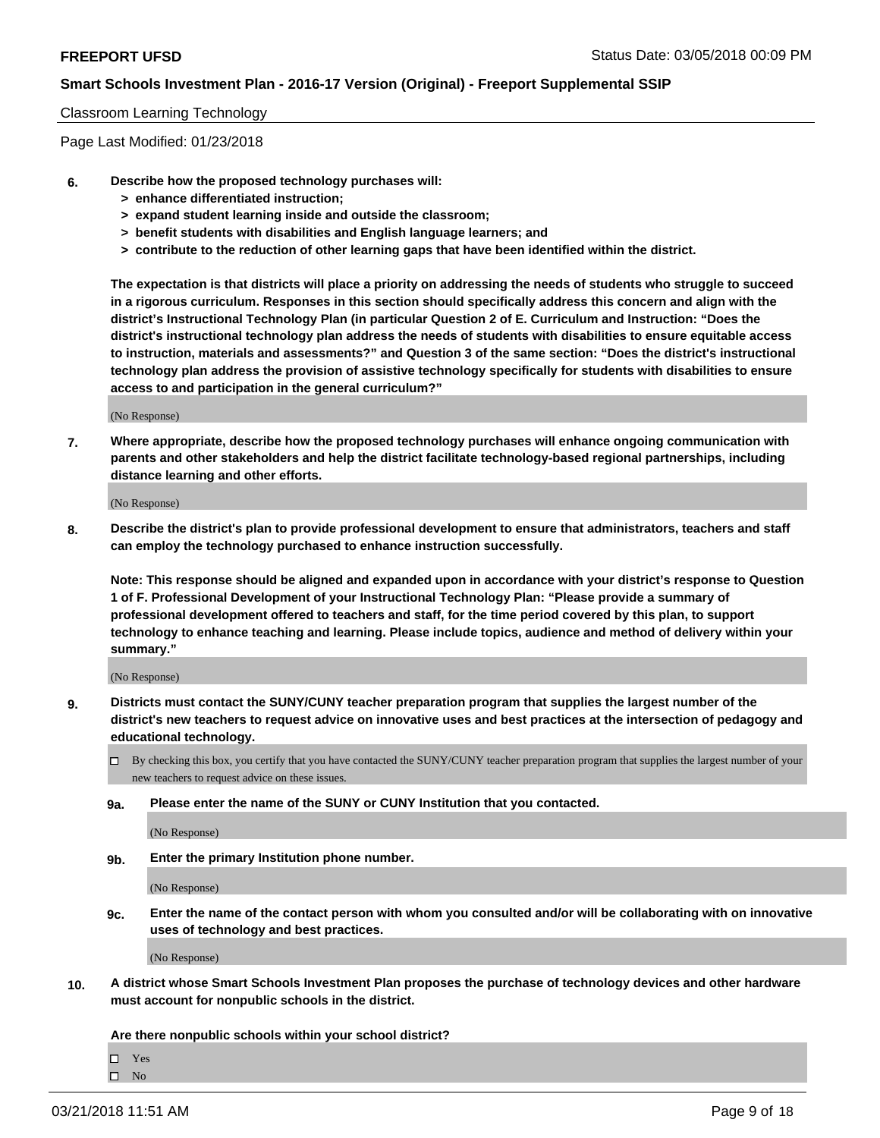#### Classroom Learning Technology

Page Last Modified: 01/23/2018

- **6. Describe how the proposed technology purchases will:**
	- **> enhance differentiated instruction;**
	- **> expand student learning inside and outside the classroom;**
	- **> benefit students with disabilities and English language learners; and**
	- **> contribute to the reduction of other learning gaps that have been identified within the district.**

**The expectation is that districts will place a priority on addressing the needs of students who struggle to succeed in a rigorous curriculum. Responses in this section should specifically address this concern and align with the district's Instructional Technology Plan (in particular Question 2 of E. Curriculum and Instruction: "Does the district's instructional technology plan address the needs of students with disabilities to ensure equitable access to instruction, materials and assessments?" and Question 3 of the same section: "Does the district's instructional technology plan address the provision of assistive technology specifically for students with disabilities to ensure access to and participation in the general curriculum?"**

(No Response)

**7. Where appropriate, describe how the proposed technology purchases will enhance ongoing communication with parents and other stakeholders and help the district facilitate technology-based regional partnerships, including distance learning and other efforts.**

(No Response)

**8. Describe the district's plan to provide professional development to ensure that administrators, teachers and staff can employ the technology purchased to enhance instruction successfully.**

**Note: This response should be aligned and expanded upon in accordance with your district's response to Question 1 of F. Professional Development of your Instructional Technology Plan: "Please provide a summary of professional development offered to teachers and staff, for the time period covered by this plan, to support technology to enhance teaching and learning. Please include topics, audience and method of delivery within your summary."**

(No Response)

- **9. Districts must contact the SUNY/CUNY teacher preparation program that supplies the largest number of the district's new teachers to request advice on innovative uses and best practices at the intersection of pedagogy and educational technology.**
	- By checking this box, you certify that you have contacted the SUNY/CUNY teacher preparation program that supplies the largest number of your new teachers to request advice on these issues.
	- **9a. Please enter the name of the SUNY or CUNY Institution that you contacted.**

(No Response)

**9b. Enter the primary Institution phone number.**

(No Response)

**9c. Enter the name of the contact person with whom you consulted and/or will be collaborating with on innovative uses of technology and best practices.**

(No Response)

**10. A district whose Smart Schools Investment Plan proposes the purchase of technology devices and other hardware must account for nonpublic schools in the district.**

**Are there nonpublic schools within your school district?**

 $\Box$  Yes  $\hfill \square$  No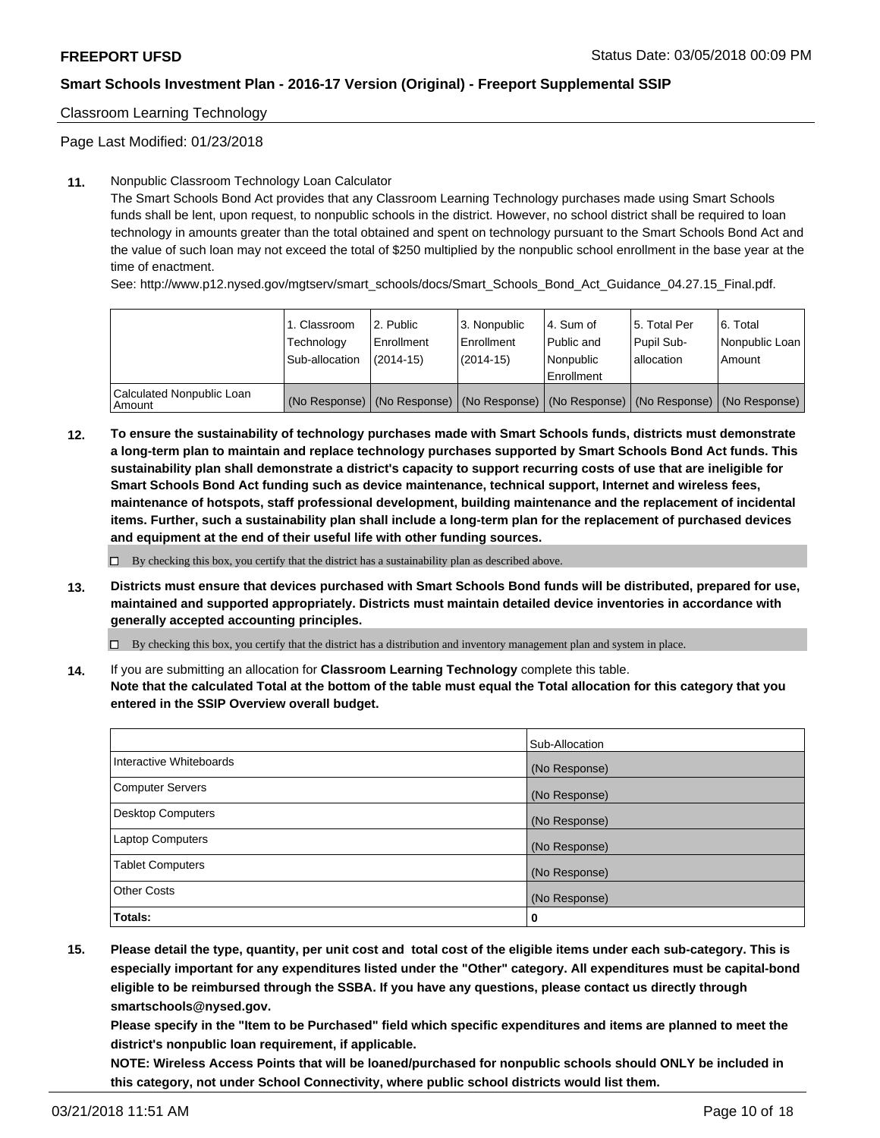Classroom Learning Technology

Page Last Modified: 01/23/2018

### **11.** Nonpublic Classroom Technology Loan Calculator

The Smart Schools Bond Act provides that any Classroom Learning Technology purchases made using Smart Schools funds shall be lent, upon request, to nonpublic schools in the district. However, no school district shall be required to loan technology in amounts greater than the total obtained and spent on technology pursuant to the Smart Schools Bond Act and the value of such loan may not exceed the total of \$250 multiplied by the nonpublic school enrollment in the base year at the time of enactment.

See: http://www.p12.nysed.gov/mgtserv/smart\_schools/docs/Smart\_Schools\_Bond\_Act\_Guidance\_04.27.15\_Final.pdf.

|                                       | 1. Classroom<br>Technology<br>Sub-allocation | l 2. Public<br>Enrollment<br>$(2014 - 15)$ | l 3. Nonpublic<br>Enrollment<br>(2014-15) | 4. Sum of<br>Public and<br>l Nonpublic<br>Enrollment | l 5. Total Per<br>Pupil Sub-<br>lallocation                                                   | l 6. Total<br>Nonpublic Loan<br>Amount |
|---------------------------------------|----------------------------------------------|--------------------------------------------|-------------------------------------------|------------------------------------------------------|-----------------------------------------------------------------------------------------------|----------------------------------------|
| Calculated Nonpublic Loan<br>l Amount |                                              |                                            |                                           |                                                      | (No Response)   (No Response)   (No Response)   (No Response)   (No Response)   (No Response) |                                        |

**12. To ensure the sustainability of technology purchases made with Smart Schools funds, districts must demonstrate a long-term plan to maintain and replace technology purchases supported by Smart Schools Bond Act funds. This sustainability plan shall demonstrate a district's capacity to support recurring costs of use that are ineligible for Smart Schools Bond Act funding such as device maintenance, technical support, Internet and wireless fees, maintenance of hotspots, staff professional development, building maintenance and the replacement of incidental items. Further, such a sustainability plan shall include a long-term plan for the replacement of purchased devices and equipment at the end of their useful life with other funding sources.**

 $\square$  By checking this box, you certify that the district has a sustainability plan as described above.

**13. Districts must ensure that devices purchased with Smart Schools Bond funds will be distributed, prepared for use, maintained and supported appropriately. Districts must maintain detailed device inventories in accordance with generally accepted accounting principles.**

By checking this box, you certify that the district has a distribution and inventory management plan and system in place.

**14.** If you are submitting an allocation for **Classroom Learning Technology** complete this table.

**Note that the calculated Total at the bottom of the table must equal the Total allocation for this category that you entered in the SSIP Overview overall budget.**

|                          | Sub-Allocation |
|--------------------------|----------------|
| Interactive Whiteboards  | (No Response)  |
| <b>Computer Servers</b>  | (No Response)  |
| <b>Desktop Computers</b> | (No Response)  |
| <b>Laptop Computers</b>  | (No Response)  |
| <b>Tablet Computers</b>  | (No Response)  |
| <b>Other Costs</b>       | (No Response)  |
| Totals:                  | 0              |

**15. Please detail the type, quantity, per unit cost and total cost of the eligible items under each sub-category. This is especially important for any expenditures listed under the "Other" category. All expenditures must be capital-bond eligible to be reimbursed through the SSBA. If you have any questions, please contact us directly through smartschools@nysed.gov.**

**Please specify in the "Item to be Purchased" field which specific expenditures and items are planned to meet the district's nonpublic loan requirement, if applicable.**

**NOTE: Wireless Access Points that will be loaned/purchased for nonpublic schools should ONLY be included in this category, not under School Connectivity, where public school districts would list them.**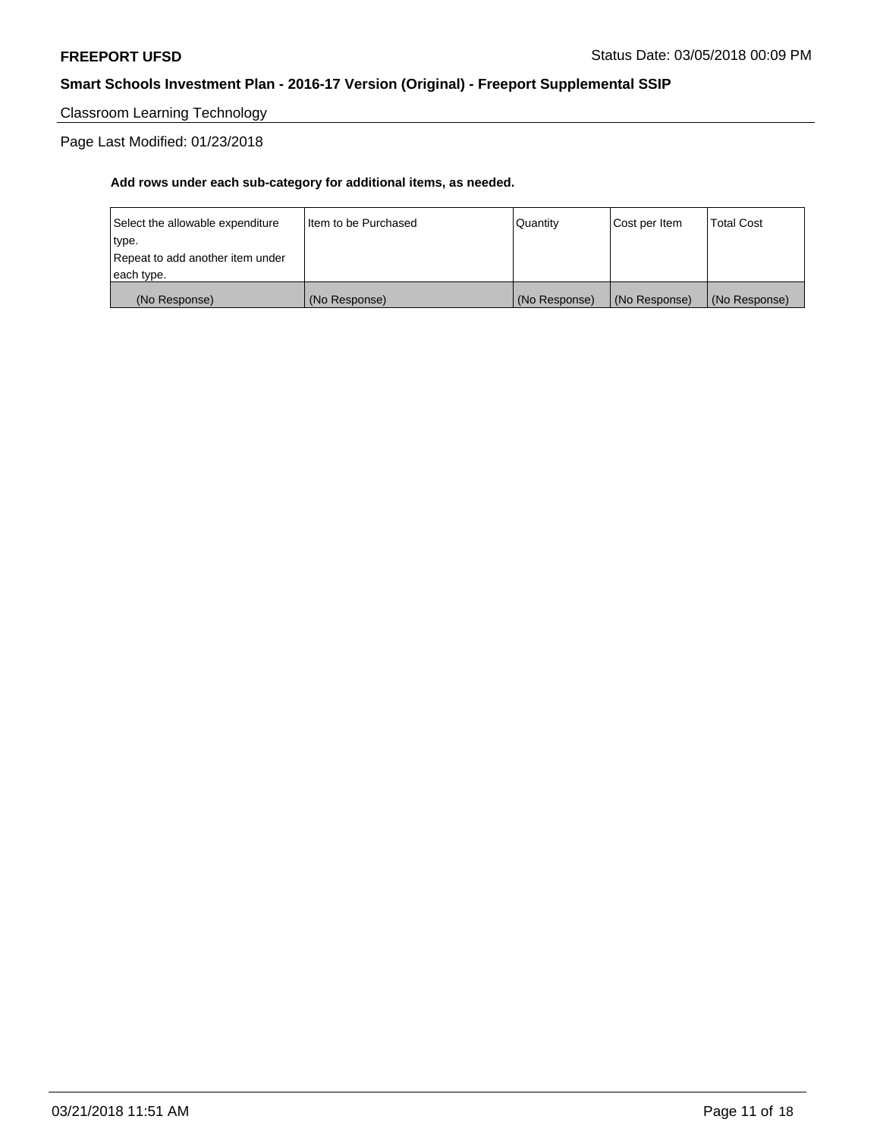# Classroom Learning Technology

## Page Last Modified: 01/23/2018

| (No Response)                    | (No Response)          | (No Response) | (No Response) | (No Response) |
|----------------------------------|------------------------|---------------|---------------|---------------|
| each type.                       |                        |               |               |               |
| Repeat to add another item under |                        |               |               |               |
| type.                            |                        |               |               |               |
| Select the allowable expenditure | I Item to be Purchased | Quantity      | Cost per Item | Total Cost    |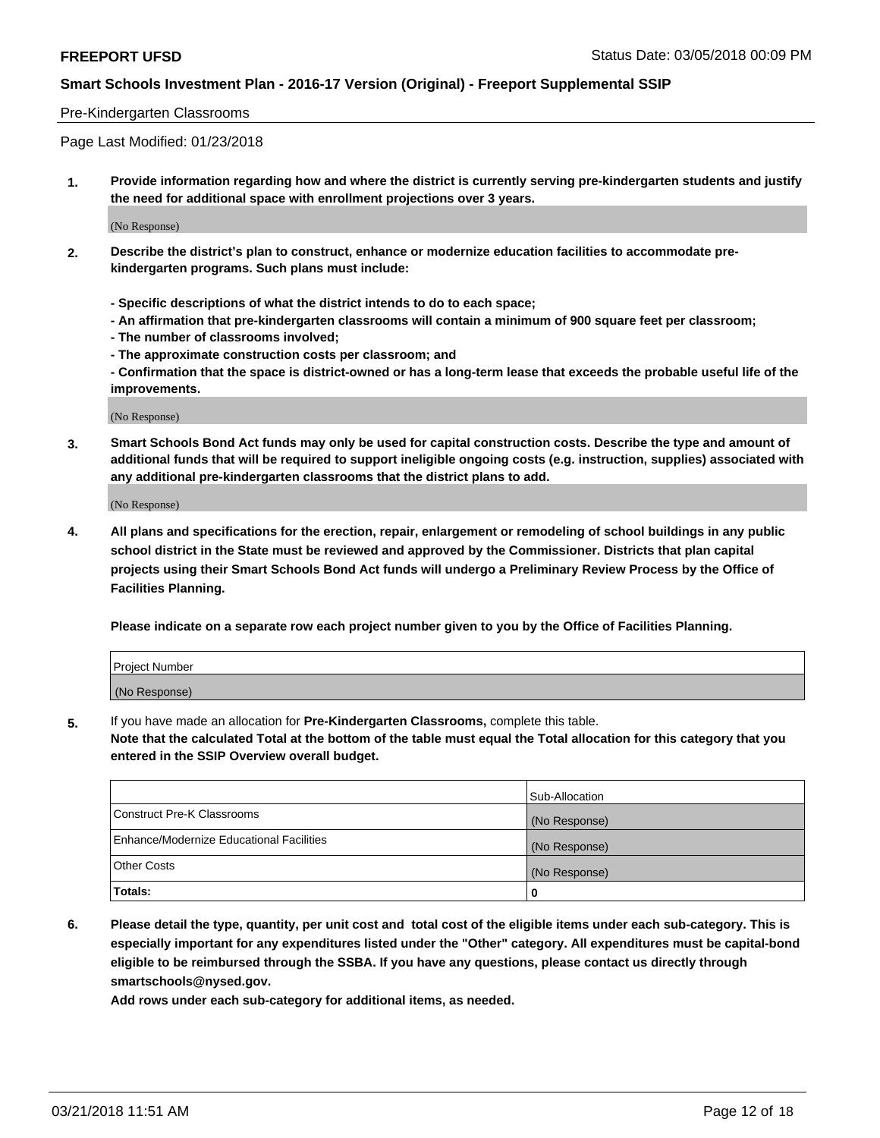### Pre-Kindergarten Classrooms

Page Last Modified: 01/23/2018

**1. Provide information regarding how and where the district is currently serving pre-kindergarten students and justify the need for additional space with enrollment projections over 3 years.**

(No Response)

- **2. Describe the district's plan to construct, enhance or modernize education facilities to accommodate prekindergarten programs. Such plans must include:**
	- **Specific descriptions of what the district intends to do to each space;**
	- **An affirmation that pre-kindergarten classrooms will contain a minimum of 900 square feet per classroom;**
	- **The number of classrooms involved;**
	- **The approximate construction costs per classroom; and**
	- **Confirmation that the space is district-owned or has a long-term lease that exceeds the probable useful life of the improvements.**

(No Response)

**3. Smart Schools Bond Act funds may only be used for capital construction costs. Describe the type and amount of additional funds that will be required to support ineligible ongoing costs (e.g. instruction, supplies) associated with any additional pre-kindergarten classrooms that the district plans to add.**

(No Response)

**4. All plans and specifications for the erection, repair, enlargement or remodeling of school buildings in any public school district in the State must be reviewed and approved by the Commissioner. Districts that plan capital projects using their Smart Schools Bond Act funds will undergo a Preliminary Review Process by the Office of Facilities Planning.**

**Please indicate on a separate row each project number given to you by the Office of Facilities Planning.**

| <b>Project Number</b> |  |
|-----------------------|--|
| (No Response)         |  |

**5.** If you have made an allocation for **Pre-Kindergarten Classrooms,** complete this table.

**Note that the calculated Total at the bottom of the table must equal the Total allocation for this category that you entered in the SSIP Overview overall budget.**

|                                          | Sub-Allocation |
|------------------------------------------|----------------|
| Construct Pre-K Classrooms               | (No Response)  |
| Enhance/Modernize Educational Facilities | (No Response)  |
| Other Costs                              | (No Response)  |
| Totals:                                  | 0              |

**6. Please detail the type, quantity, per unit cost and total cost of the eligible items under each sub-category. This is especially important for any expenditures listed under the "Other" category. All expenditures must be capital-bond eligible to be reimbursed through the SSBA. If you have any questions, please contact us directly through smartschools@nysed.gov.**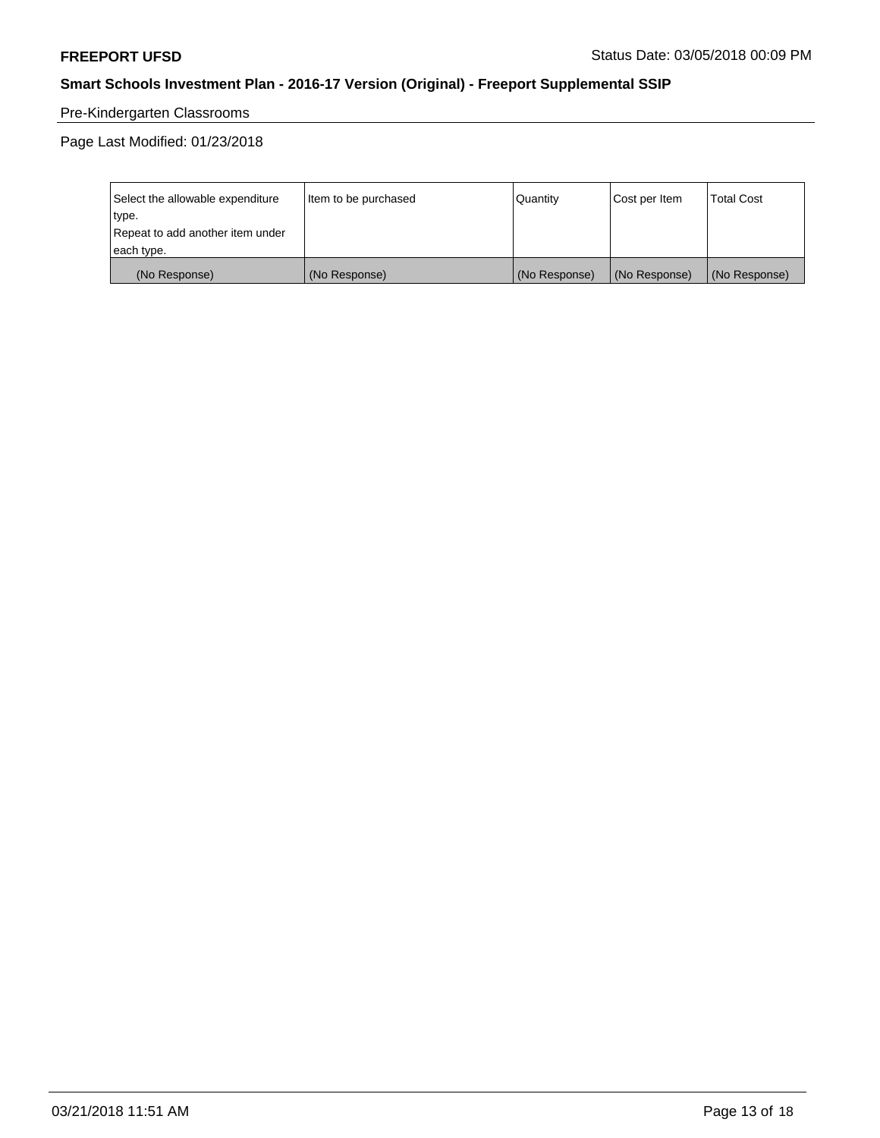# Pre-Kindergarten Classrooms

Page Last Modified: 01/23/2018

| Select the allowable expenditure | Item to be purchased | Quantity      | Cost per Item | <b>Total Cost</b> |
|----------------------------------|----------------------|---------------|---------------|-------------------|
| type.                            |                      |               |               |                   |
| Repeat to add another item under |                      |               |               |                   |
| each type.                       |                      |               |               |                   |
| (No Response)                    | (No Response)        | (No Response) | (No Response) | (No Response)     |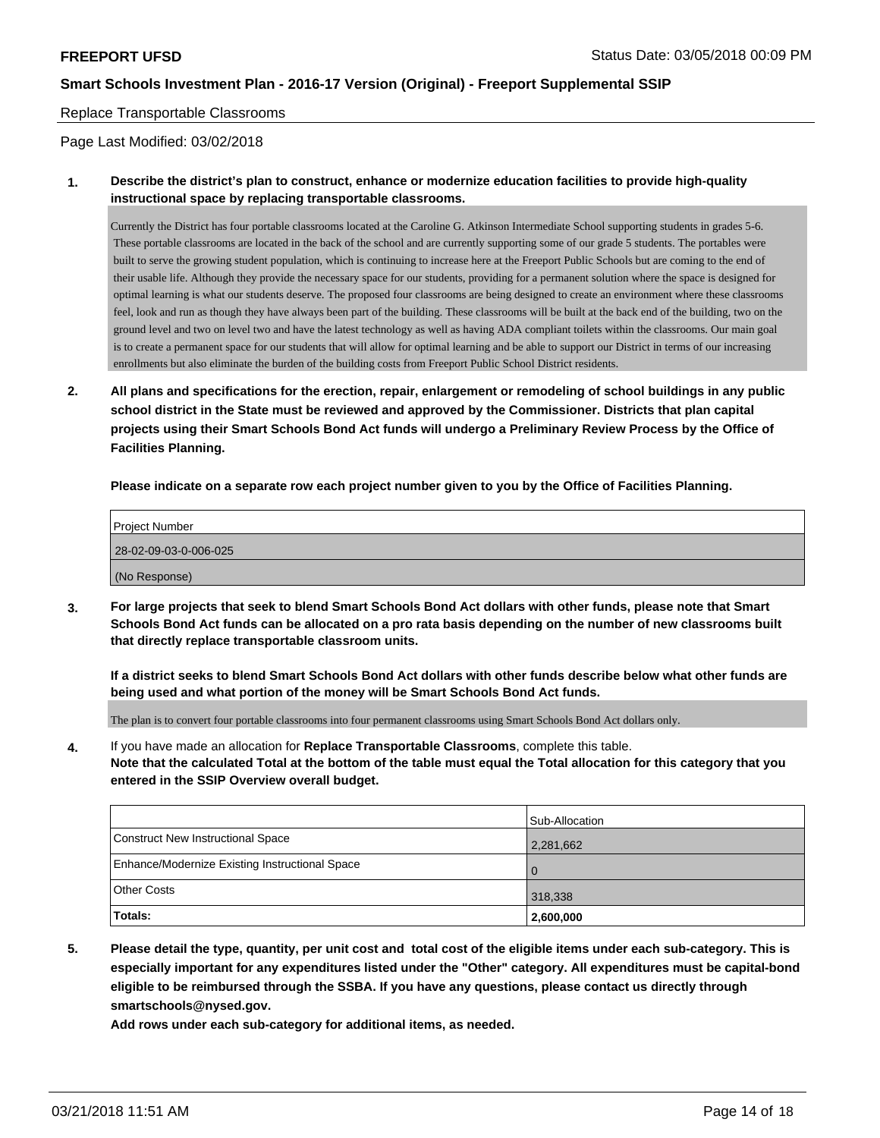#### Replace Transportable Classrooms

Page Last Modified: 03/02/2018

### **1. Describe the district's plan to construct, enhance or modernize education facilities to provide high-quality instructional space by replacing transportable classrooms.**

Currently the District has four portable classrooms located at the Caroline G. Atkinson Intermediate School supporting students in grades 5-6. These portable classrooms are located in the back of the school and are currently supporting some of our grade 5 students. The portables were built to serve the growing student population, which is continuing to increase here at the Freeport Public Schools but are coming to the end of their usable life. Although they provide the necessary space for our students, providing for a permanent solution where the space is designed for optimal learning is what our students deserve. The proposed four classrooms are being designed to create an environment where these classrooms feel, look and run as though they have always been part of the building. These classrooms will be built at the back end of the building, two on the ground level and two on level two and have the latest technology as well as having ADA compliant toilets within the classrooms. Our main goal is to create a permanent space for our students that will allow for optimal learning and be able to support our District in terms of our increasing enrollments but also eliminate the burden of the building costs from Freeport Public School District residents.

**2. All plans and specifications for the erection, repair, enlargement or remodeling of school buildings in any public school district in the State must be reviewed and approved by the Commissioner. Districts that plan capital projects using their Smart Schools Bond Act funds will undergo a Preliminary Review Process by the Office of Facilities Planning.**

**Please indicate on a separate row each project number given to you by the Office of Facilities Planning.**

| <b>Project Number</b> |
|-----------------------|
| 28-02-09-03-0-006-025 |
| (No Response)         |

**3. For large projects that seek to blend Smart Schools Bond Act dollars with other funds, please note that Smart Schools Bond Act funds can be allocated on a pro rata basis depending on the number of new classrooms built that directly replace transportable classroom units.**

**If a district seeks to blend Smart Schools Bond Act dollars with other funds describe below what other funds are being used and what portion of the money will be Smart Schools Bond Act funds.**

The plan is to convert four portable classrooms into four permanent classrooms using Smart Schools Bond Act dollars only.

**4.** If you have made an allocation for **Replace Transportable Classrooms**, complete this table. **Note that the calculated Total at the bottom of the table must equal the Total allocation for this category that you entered in the SSIP Overview overall budget.**

|                                                | Sub-Allocation |
|------------------------------------------------|----------------|
| Construct New Instructional Space              | 2,281,662      |
| Enhance/Modernize Existing Instructional Space | . 0            |
| <b>Other Costs</b>                             | 318,338        |
| Totals:                                        | 2,600,000      |

**5. Please detail the type, quantity, per unit cost and total cost of the eligible items under each sub-category. This is especially important for any expenditures listed under the "Other" category. All expenditures must be capital-bond eligible to be reimbursed through the SSBA. If you have any questions, please contact us directly through smartschools@nysed.gov.**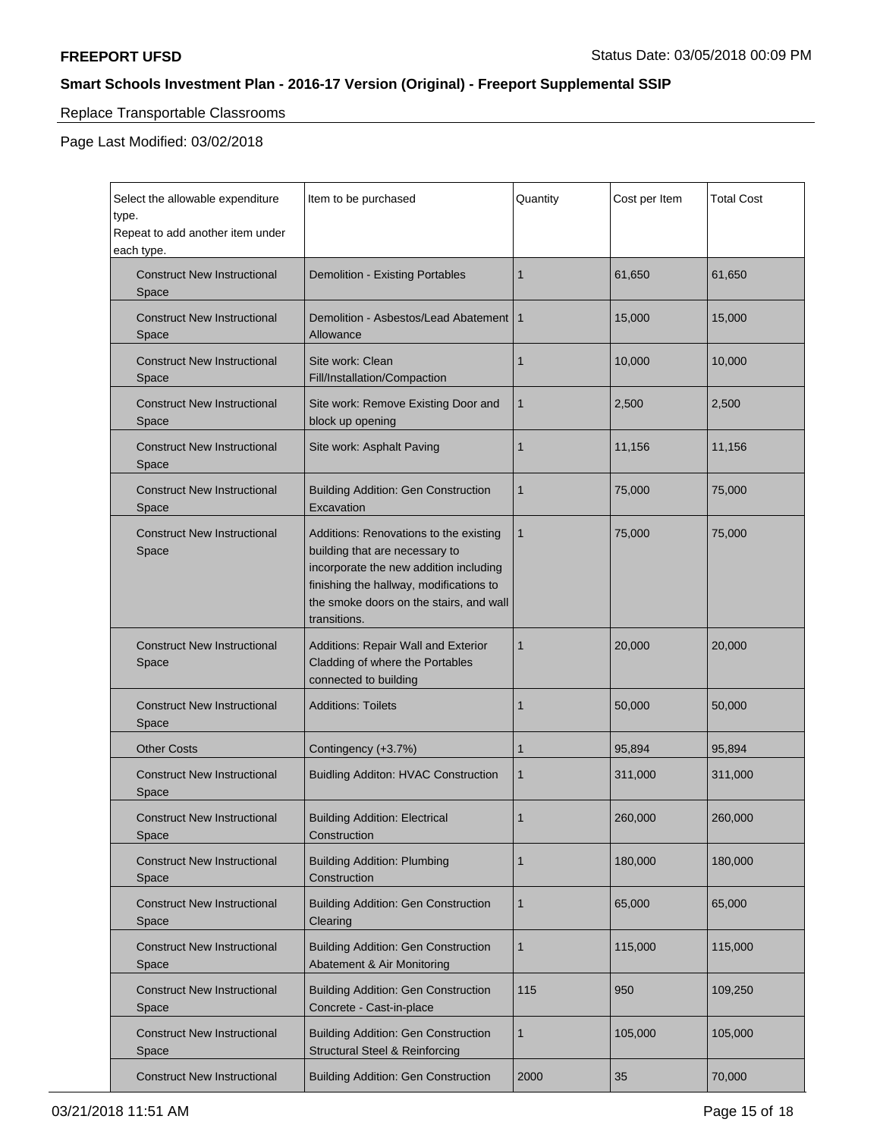# Replace Transportable Classrooms

Page Last Modified: 03/02/2018

| Select the allowable expenditure<br>type.<br>Repeat to add another item under<br>each type. | Item to be purchased                                                                                                                                                                                                     | Quantity     | Cost per Item | <b>Total Cost</b> |
|---------------------------------------------------------------------------------------------|--------------------------------------------------------------------------------------------------------------------------------------------------------------------------------------------------------------------------|--------------|---------------|-------------------|
| <b>Construct New Instructional</b><br>Space                                                 | Demolition - Existing Portables                                                                                                                                                                                          | 1            | 61,650        | 61,650            |
| <b>Construct New Instructional</b><br>Space                                                 | Demolition - Asbestos/Lead Abatement  <br>Allowance                                                                                                                                                                      | $\mathbf{1}$ | 15,000        | 15,000            |
| <b>Construct New Instructional</b><br>Space                                                 | Site work: Clean<br>Fill/Installation/Compaction                                                                                                                                                                         | 1            | 10,000        | 10,000            |
| <b>Construct New Instructional</b><br>Space                                                 | Site work: Remove Existing Door and<br>block up opening                                                                                                                                                                  | 1            | 2,500         | 2,500             |
| <b>Construct New Instructional</b><br>Space                                                 | Site work: Asphalt Paving                                                                                                                                                                                                | 1            | 11,156        | 11,156            |
| <b>Construct New Instructional</b><br>Space                                                 | <b>Building Addition: Gen Construction</b><br>Excavation                                                                                                                                                                 | $\mathbf{1}$ | 75,000        | 75,000            |
| <b>Construct New Instructional</b><br>Space                                                 | Additions: Renovations to the existing<br>building that are necessary to<br>incorporate the new addition including<br>finishing the hallway, modifications to<br>the smoke doors on the stairs, and wall<br>transitions. | $\mathbf{1}$ | 75,000        | 75,000            |
| <b>Construct New Instructional</b><br>Space                                                 | Additions: Repair Wall and Exterior<br>Cladding of where the Portables<br>connected to building                                                                                                                          | 1            | 20,000        | 20,000            |
| <b>Construct New Instructional</b><br>Space                                                 | <b>Additions: Toilets</b>                                                                                                                                                                                                | 1            | 50,000        | 50,000            |
| <b>Other Costs</b>                                                                          | Contingency (+3.7%)                                                                                                                                                                                                      | 1            | 95,894        | 95,894            |
| <b>Construct New Instructional</b><br>Space                                                 | <b>Buidling Additon: HVAC Construction</b>                                                                                                                                                                               | 1            | 311,000       | 311,000           |
| <b>Construct New Instructional</b><br>Space                                                 | <b>Building Addition: Electrical</b><br>Construction                                                                                                                                                                     | 1            | 260,000       | 260,000           |
| <b>Construct New Instructional</b><br>Space                                                 | <b>Building Addition: Plumbing</b><br>Construction                                                                                                                                                                       | 1            | 180,000       | 180,000           |
| <b>Construct New Instructional</b><br>Space                                                 | <b>Building Addition: Gen Construction</b><br>Clearing                                                                                                                                                                   | $\mathbf{1}$ | 65,000        | 65,000            |
| <b>Construct New Instructional</b><br>Space                                                 | <b>Building Addition: Gen Construction</b><br><b>Abatement &amp; Air Monitoring</b>                                                                                                                                      | 1            | 115,000       | 115,000           |
| <b>Construct New Instructional</b><br>Space                                                 | <b>Building Addition: Gen Construction</b><br>Concrete - Cast-in-place                                                                                                                                                   | 115          | 950           | 109,250           |
| <b>Construct New Instructional</b><br>Space                                                 | <b>Building Addition: Gen Construction</b><br><b>Structural Steel &amp; Reinforcing</b>                                                                                                                                  | 1            | 105,000       | 105,000           |
| <b>Construct New Instructional</b>                                                          | <b>Building Addition: Gen Construction</b>                                                                                                                                                                               | 2000         | 35            | 70,000            |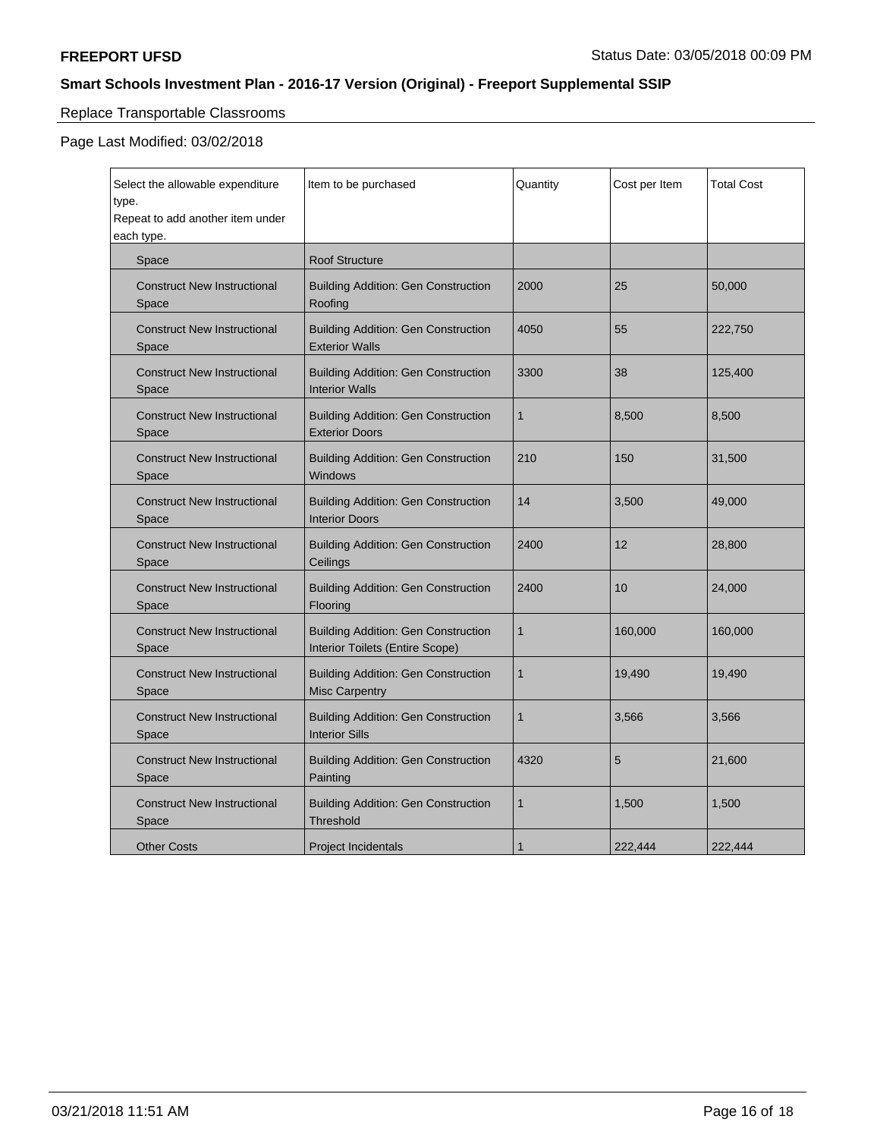# Replace Transportable Classrooms

## Page Last Modified: 03/02/2018

| Select the allowable expenditure<br>type.<br>Repeat to add another item under<br>each type. | Item to be purchased                                                          | Quantity     | Cost per Item | <b>Total Cost</b> |
|---------------------------------------------------------------------------------------------|-------------------------------------------------------------------------------|--------------|---------------|-------------------|
| Space                                                                                       | <b>Roof Structure</b>                                                         |              |               |                   |
| <b>Construct New Instructional</b><br>Space                                                 | <b>Building Addition: Gen Construction</b><br>Roofing                         | 2000         | 25            | 50,000            |
| <b>Construct New Instructional</b><br>Space                                                 | <b>Building Addition: Gen Construction</b><br><b>Exterior Walls</b>           | 4050         | 55            | 222,750           |
| <b>Construct New Instructional</b><br>Space                                                 | <b>Building Addition: Gen Construction</b><br><b>Interior Walls</b>           | 3300         | 38            | 125,400           |
| <b>Construct New Instructional</b><br>Space                                                 | <b>Building Addition: Gen Construction</b><br><b>Exterior Doors</b>           | $\mathbf{1}$ | 8,500         | 8,500             |
| <b>Construct New Instructional</b><br>Space                                                 | <b>Building Addition: Gen Construction</b><br><b>Windows</b>                  | 210          | 150           | 31,500            |
| <b>Construct New Instructional</b><br>Space                                                 | <b>Building Addition: Gen Construction</b><br><b>Interior Doors</b>           | 14           | 3,500         | 49,000            |
| <b>Construct New Instructional</b><br>Space                                                 | <b>Building Addition: Gen Construction</b><br>Ceilings                        | 2400         | 12            | 28,800            |
| <b>Construct New Instructional</b><br>Space                                                 | <b>Building Addition: Gen Construction</b><br>Flooring                        | 2400         | 10            | 24,000            |
| <b>Construct New Instructional</b><br>Space                                                 | <b>Building Addition: Gen Construction</b><br>Interior Toilets (Entire Scope) | $\mathbf{1}$ | 160,000       | 160,000           |
| <b>Construct New Instructional</b><br>Space                                                 | <b>Building Addition: Gen Construction</b><br><b>Misc Carpentry</b>           | $\mathbf{1}$ | 19,490        | 19,490            |
| <b>Construct New Instructional</b><br>Space                                                 | <b>Building Addition: Gen Construction</b><br><b>Interior Sills</b>           | $\mathbf{1}$ | 3,566         | 3,566             |
| <b>Construct New Instructional</b><br>Space                                                 | <b>Building Addition: Gen Construction</b><br>Painting                        | 4320         | 5             | 21,600            |
| <b>Construct New Instructional</b><br>Space                                                 | <b>Building Addition: Gen Construction</b><br><b>Threshold</b>                | $\mathbf{1}$ | 1,500         | 1,500             |
| <b>Other Costs</b>                                                                          | <b>Project Incidentals</b>                                                    | 1            | 222,444       | 222,444           |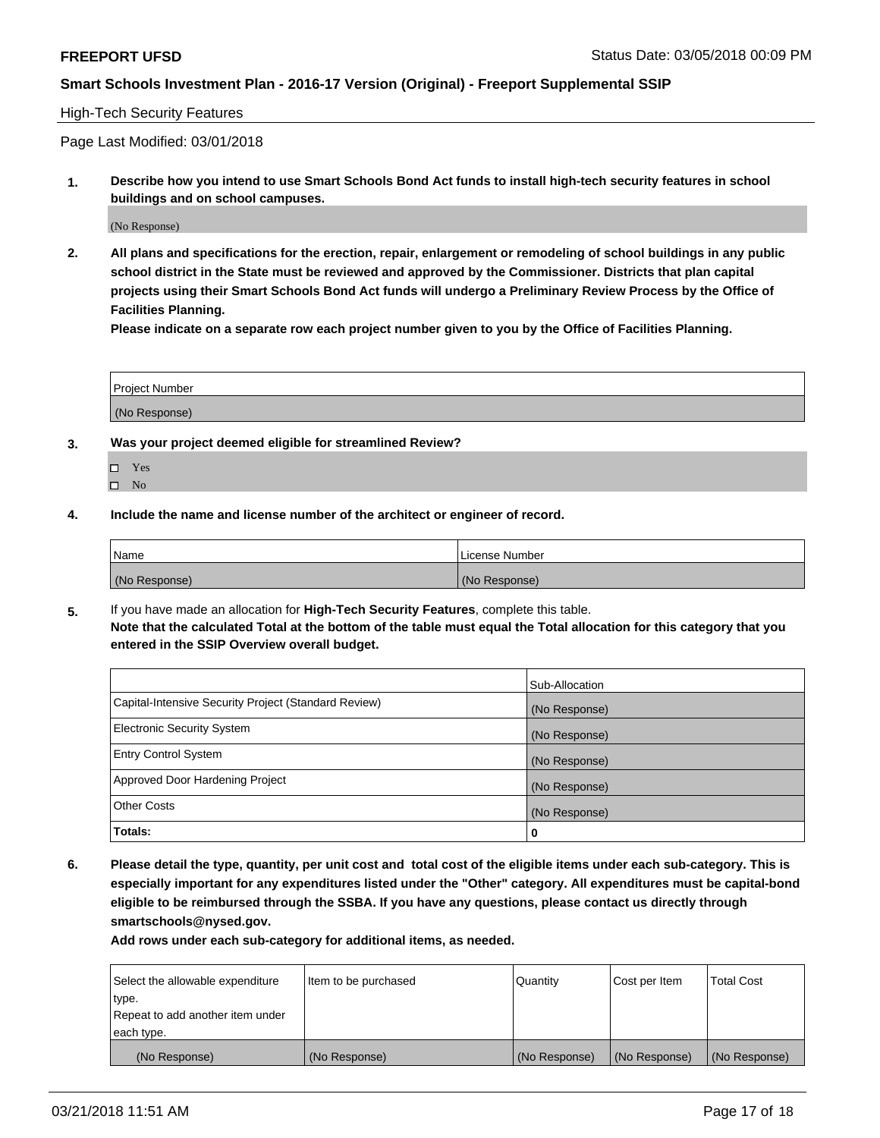### High-Tech Security Features

Page Last Modified: 03/01/2018

**1. Describe how you intend to use Smart Schools Bond Act funds to install high-tech security features in school buildings and on school campuses.**

(No Response)

**2. All plans and specifications for the erection, repair, enlargement or remodeling of school buildings in any public school district in the State must be reviewed and approved by the Commissioner. Districts that plan capital projects using their Smart Schools Bond Act funds will undergo a Preliminary Review Process by the Office of Facilities Planning.** 

**Please indicate on a separate row each project number given to you by the Office of Facilities Planning.**

| <b>Project Number</b> |  |  |
|-----------------------|--|--|
|                       |  |  |
| (No Response)         |  |  |

- **3. Was your project deemed eligible for streamlined Review?**
	- Yes  $\square$  No
- **4. Include the name and license number of the architect or engineer of record.**

| l Name        | License Number |
|---------------|----------------|
| (No Response) | (No Response)  |

**5.** If you have made an allocation for **High-Tech Security Features**, complete this table. **Note that the calculated Total at the bottom of the table must equal the Total allocation for this category that you entered in the SSIP Overview overall budget.**

|                                                      | Sub-Allocation |
|------------------------------------------------------|----------------|
| Capital-Intensive Security Project (Standard Review) | (No Response)  |
| <b>Electronic Security System</b>                    | (No Response)  |
| <b>Entry Control System</b>                          | (No Response)  |
| Approved Door Hardening Project                      | (No Response)  |
| <b>Other Costs</b>                                   | (No Response)  |
| Totals:                                              | 0              |

**6. Please detail the type, quantity, per unit cost and total cost of the eligible items under each sub-category. This is especially important for any expenditures listed under the "Other" category. All expenditures must be capital-bond eligible to be reimbursed through the SSBA. If you have any questions, please contact us directly through smartschools@nysed.gov.**

| Select the allowable expenditure | Item to be purchased | Quantity      | Cost per Item | <b>Total Cost</b> |
|----------------------------------|----------------------|---------------|---------------|-------------------|
| type.                            |                      |               |               |                   |
| Repeat to add another item under |                      |               |               |                   |
| each type.                       |                      |               |               |                   |
| (No Response)                    | (No Response)        | (No Response) | (No Response) | (No Response)     |